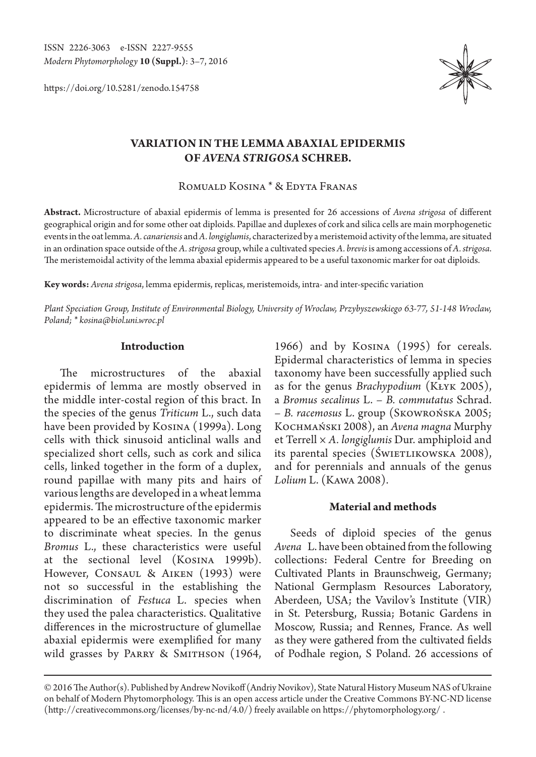ISSN 2226-3063 e-ISSN 2227-9555 *Modern Phytomorphology* **10 (Suppl.)**: 3–7, 2016

https://doi.org/10.5281/zenodo.154758



# **VARIATION IN THE LEMMA ABAXIAL EPIDERMIS OF** *AVENA STRIGOSA* **SCHREB.**

Romuald Kosina \* & Edyta Franas

**Abstract.** Microstructure of abaxial epidermis of lemma is presented for 26 accessions of *Avena strigosa* of different geographical origin and for some other oat diploids. Papillae and duplexes of cork and silica cells are main morphogenetic events in the oat lemma. *A. canariensis* and *A. longiglumis*, characterized by a meristemoid activity of the lemma, are situated in an ordination space outside of the *A. strigosa* group, while a cultivated species *A. brevis* is among accessions of *A. strigosa*. The meristemoidal activity of the lemma abaxial epidermis appeared to be a useful taxonomic marker for oat diploids.

**Key words:** *Avena strigosa*, lemma epidermis, replicas, meristemoids, intra- and inter-specific variation

*Plant Speciation Group, Institute of Environmental Biology, University of Wroclaw, Przybyszewskiego 63-77, 51-148 Wroclaw, Poland; \* kosina@biol.uni.wroc.pl*

#### **Introduction**

The microstructures of the abaxial epidermis of lemma are mostly observed in the middle inter-costal region of this bract. In the species of the genus *Triticum* L., such data have been provided by Kosina (1999a). Long cells with thick sinusoid anticlinal walls and specialized short cells, such as cork and silica cells, linked together in the form of a duplex, round papillae with many pits and hairs of various lengths are developed in a wheat lemma epidermis. The microstructure of the epidermis appeared to be an effective taxonomic marker to discriminate wheat species. In the genus *Bromus* L., these characteristics were useful at the sectional level (Kosina 1999b). However, Consaul & Aiken (1993) were not so successful in the establishing the discrimination of *Festuca* L. species when they used the palea characteristics. Qualitative differences in the microstructure of glumellae abaxial epidermis were exemplified for many wild grasses by PARRY & SMITHSON (1964, 1966) and by Kosina (1995) for cereals. Epidermal characteristics of lemma in species taxonomy have been successfully applied such as for the genus *Brachypodium* (Kłyk 2005), a *Bromus secalinus* L. – *B. commutatus* Schrad. – *B. racemosus* L. group (Skowrońska 2005; Kochmański 2008), an *Avena magna* Murphy et Terrell × *A. longiglumis* Dur. amphiploid and its parental species (ŚWIETLIKOWSKA 2008), and for perennials and annuals of the genus *Lolium* L. (Kawa 2008).

#### **Material and methods**

Seeds of diploid species of the genus *Avena* L. have been obtained from the following collections: Federal Centre for Breeding on Cultivated Plants in Braunschweig, Germany; National Germplasm Resources Laboratory, Aberdeen, USA; the Vavilov's Institute (VIR) in St. Petersburg, Russia; Botanic Gardens in Moscow, Russia; and Rennes, France. As well as they were gathered from the cultivated fields of Podhale region, S Poland. 26 accessions of

<sup>© 2016</sup> The Author(s). Published by Andrew Novikoff (Andriy Novikov), State Natural History Museum NAS of Ukraine on behalf of Modern Phytomorphology. This is an open access article under the Creative Commons BY-NC-ND license (http://creativecommons.org/licenses/by-nc-nd/4.0/) freely available on https://phytomorphology.org/ .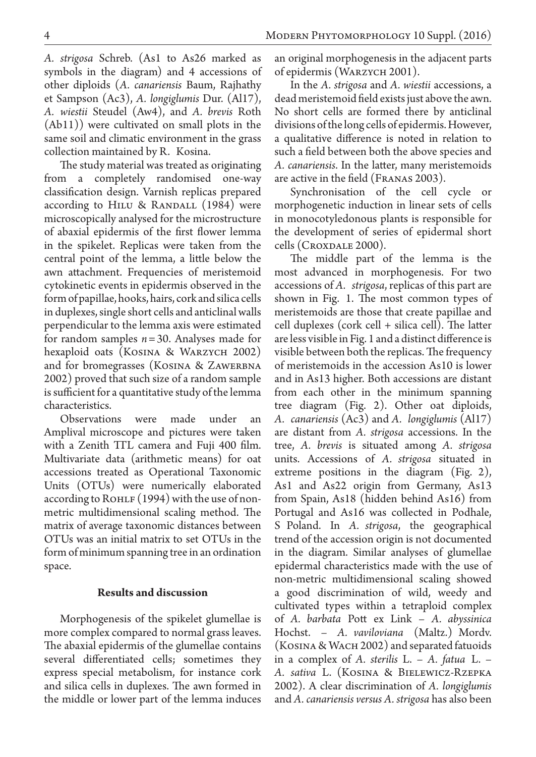*A. strigosa* Schreb. (As1 to As26 marked as symbols in the diagram) and 4 accessions of other diploids (*A. canariensis* Baum, Rajhathy et Sampson (Ac3), *A. longiglumis* Dur. (Al17), *A. wiestii* Steudel (Aw4), and *A. brevis* Roth (Ab11)) were cultivated on small plots in the same soil and climatic environment in the grass collection maintained by R. Kosina.

The study material was treated as originating from a completely randomised one-way classification design. Varnish replicas prepared according to HILU & RANDALL  $(1984)$  were microscopically analysed for the microstructure of abaxial epidermis of the first flower lemma in the spikelet. Replicas were taken from the central point of the lemma, a little below the awn attachment. Frequencies of meristemoid cytokinetic events in epidermis observed in the form of papillae, hooks, hairs, cork and silica cells in duplexes, single short cells and anticlinal walls perpendicular to the lemma axis were estimated for random samples *n*=30. Analyses made for hexaploid oats (KOSINA & WARZYCH 2002) and for bromegrasses (KOSINA & ZAWERBNA 2002) proved that such size of a random sample is sufficient for a quantitative study of the lemma characteristics.

Observations were made under an Amplival microscope and pictures were taken with a Zenith TTL camera and Fuji 400 film. Multivariate data (arithmetic means) for oat accessions treated as Operational Taxonomic Units (OTUs) were numerically elaborated according to  $R$ OHLF  $(1994)$  with the use of nonmetric multidimensional scaling method. The matrix of average taxonomic distances between OTUs was an initial matrix to set OTUs in the form of minimum spanning tree in an ordination space.

### **Results and discussion**

Morphogenesis of the spikelet glumellae is more complex compared to normal grass leaves. The abaxial epidermis of the glumellae contains several differentiated cells; sometimes they express special metabolism, for instance cork and silica cells in duplexes. The awn formed in the middle or lower part of the lemma induces an original morphogenesis in the adjacent parts of epidermis (Warzych 2001).

In the *A. strigosa* and *A. wiestii* accessions, a dead meristemoid field exists just above the awn. No short cells are formed there by anticlinal divisions of the long cells of epidermis. However, a qualitative difference is noted in relation to such a field between both the above species and *A. canariensis*. In the latter, many meristemoids are active in the field (Franas 2003).

Synchronisation of the cell cycle or morphogenetic induction in linear sets of cells in monocotyledonous plants is responsible for the development of series of epidermal short cells (Croxdale 2000).

The middle part of the lemma is the most advanced in morphogenesis. For two accessions of *A. strigosa*, replicas of this part are shown in Fig. 1. The most common types of meristemoids are those that create papillae and cell duplexes (cork cell + silica cell). The latter are less visible in Fig. 1 and a distinct difference is visible between both the replicas. The frequency of meristemoids in the accession As10 is lower and in As13 higher. Both accessions are distant from each other in the minimum spanning tree diagram (Fig. 2). Other oat diploids, *A. canariensis* (Ac3) and *A. longiglumis* (Al17) are distant from *A. strigosa* accessions. In the tree, *A. brevis* is situated among *A. strigosa*  units. Accessions of *A. strigosa* situated in extreme positions in the diagram (Fig. 2), As1 and As22 origin from Germany, As13 from Spain, As18 (hidden behind As16) from Portugal and As16 was collected in Podhale, S Poland. In *A. strigosa*, the geographical trend of the accession origin is not documented in the diagram. Similar analyses of glumellae epidermal characteristics made with the use of non-metric multidimensional scaling showed a good discrimination of wild, weedy and cultivated types within a tetraploid complex of *A. barbata* Pott ex Link – *A. abyssinica* Hochst. – *A. vaviloviana* (Maltz.) Mordv. (Kosina & Wach 2002) and separated fatuoids in a complex of *A. sterilis* L. – *A. fatua* L. – *A. sativa* L. (Kosina & Bielewicz-Rzepka 2002). A clear discrimination of *A. longiglumis*  and *A. canariensis versus A. strigosa* has also been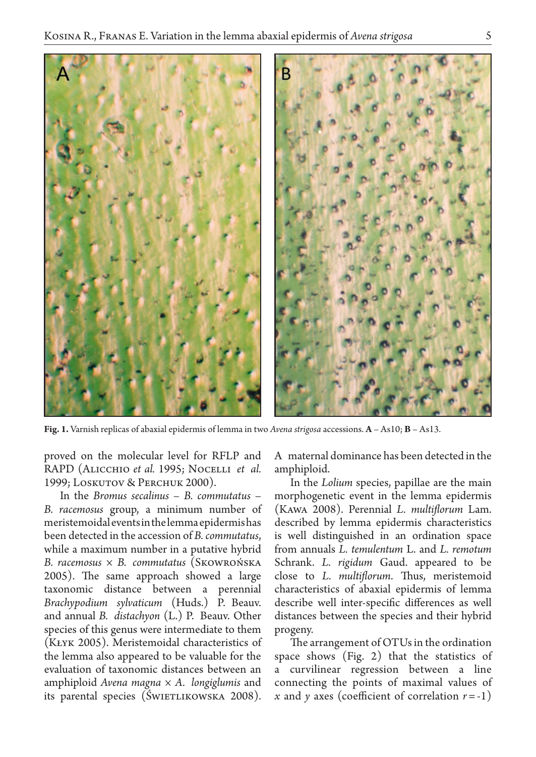

**Fig. 1.** Varnish replicas of abaxial epidermis of lemma in two *Avena strigosa* accessions. **A** – As10; **B** – As13.

proved on the molecular level for RFLP and RAPD (Alicchio *et al.* 1995; Nocelli *et al.*  1999; Loskutov & Perchuk 2000).

In the *Bromus secalinus* – *B. commutatus* – *B. racemosus* group, a minimum number of meristemoidal events in the lemma epidermis has been detected in the accession of *B. commutatus*, while a maximum number in a putative hybrid *B. racemosus* × *B. commutatus* (Skowrońska 2005). The same approach showed a large taxonomic distance between a perennial *Brachypodium sylvaticum* (Huds.) P. Beauv. and annual *B. distachyon* (L.) P. Beauv. Other species of this genus were intermediate to them (Kłyk 2005). Meristemoidal characteristics of the lemma also appeared to be valuable for the evaluation of taxonomic distances between an amphiploid *Avena magna* × *A. longiglumis* and its parental species (ŚWIETLIKOWSKA 2008). A maternal dominance has been detected in the amphiploid.

In the *Lolium* species, papillae are the main morphogenetic event in the lemma epidermis (Kawa 2008). Perennial *L. multiflorum* Lam. described by lemma epidermis characteristics is well distinguished in an ordination space from annuals *L. temulentum* L. and *L. remotum*  Schrank. *L. rigidum* Gaud. appeared to be close to *L. multiflorum*. Thus, meristemoid characteristics of abaxial epidermis of lemma describe well inter-specific differences as well distances between the species and their hybrid progeny.

The arrangement of OTUs in the ordination space shows (Fig. 2) that the statistics of a curvilinear regression between a line connecting the points of maximal values of *x* and *y* axes (coefficient of correlation  $r = -1$ )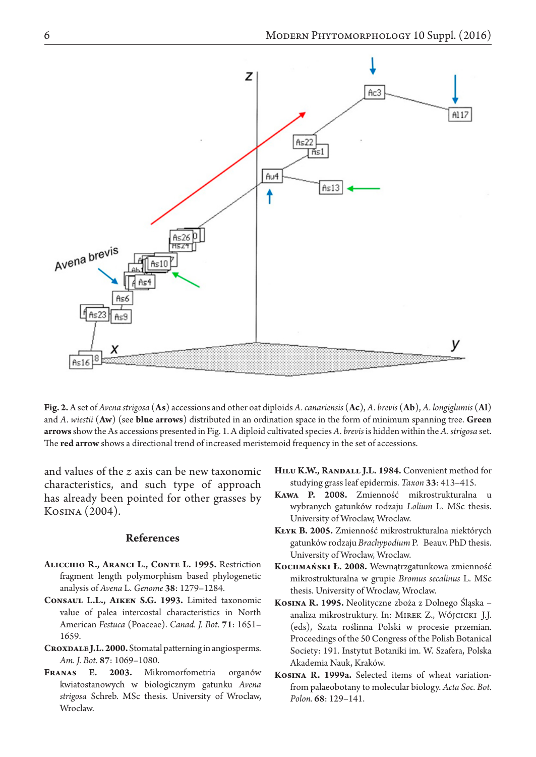

**Fig. 2.** A set of *Avena strigosa* (**As**) accessions and other oat diploids *A. canariensis* (**Ac**), *A. brevis* (**Ab**), *A. longiglumis* (**Al**) and *A. wiestii* (**Aw**) (see **blue arrows**) distributed in an ordination space in the form of minimum spanning tree. **Green arrows** show the As accessions presented in Fig. 1. A diploid cultivated species *A. brevis* is hidden within the *A. strigosa* set. The **red arrow** shows a directional trend of increased meristemoid frequency in the set of accessions.

and values of the *z* axis can be new taxonomic characteristics, and such type of approach has already been pointed for other grasses by Kosina (2004).

## **References**

- **Alicchio R., Aranci L., Conte L. 1995.** Restriction fragment length polymorphism based phylogenetic analysis of *Avena* L. *Genome* **38**: 1279–1284.
- **Consaul L.L., Aiken S.G. 1993.** Limited taxonomic value of palea intercostal characteristics in North American *Festuca* (Poaceae). *Canad. J. Bot.* **71**: 1651– 1659.
- CROXDALE J.L. 2000. Stomatal patterning in angiosperms. *Am. J. Bot.* **87**: 1069–1080.
- **Franas E. 2003.** Mikromorfometria organów kwiatostanowych w biologicznym gatunku *Avena strigosa* Schreb. MSc thesis. University of Wroclaw, Wroclaw.
- **Hilu K.W., Randall J.L. 1984.** Convenient method for studying grass leaf epidermis. *Taxon* **33**: 413–415.
- **Kawa P. 2008.** Zmienność mikrostrukturalna u wybranych gatunków rodzaju *Lolium* L. MSc thesis. University of Wroclaw, Wroclaw.
- **Kłyk B. 2005.** Zmienność mikrostrukturalna niektórych gatunków rodzaju *Brachypodium* P. Beauv. PhD thesis. University of Wroclaw, Wroclaw.
- **Kochmański Ł. 2008.** Wewnątrzgatunkowa zmienność mikrostrukturalna w grupie *Bromus secalinus* L. MSc thesis. University of Wroclaw, Wroclaw.
- **Kosina R. 1995.** Neolityczne zboża z Dolnego Śląska analiza mikrostruktury. In: Mirek Z., Wójcicki J.J. (eds), Szata roślinna Polski w procesie przemian. Proceedings of the 50 Congress of the Polish Botanical Society: 191. Instytut Botaniki im. W. Szafera, Polska Akademia Nauk, Kraków.
- **Kosina R. 1999a.** Selected items of wheat variationfrom palaeobotany to molecular biology. *Acta Soc. Bot. Polon.* **68**: 129–141.